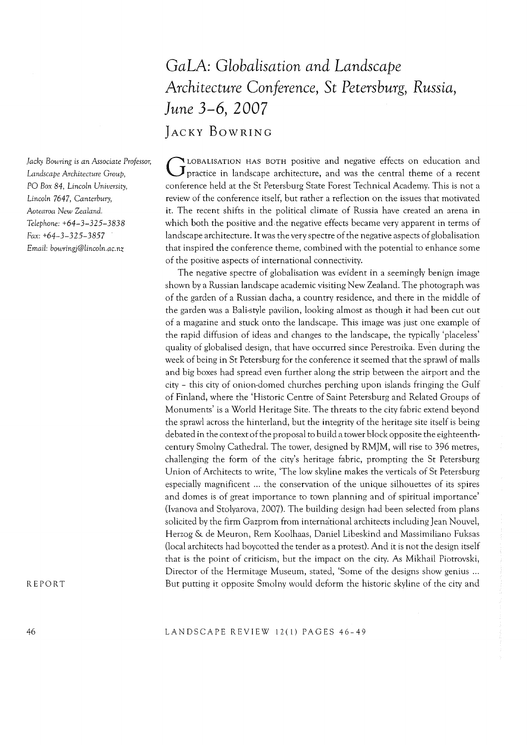# *GaLA: Globalisation and Landscape Architecture Conference,* **St** *Petersburg, Russia, June* **3-6, 2007 JACKY BOWRING**

GLOBALISATlON HAS BOTH positive and negative effects on education and practice in landscape architecture, and was the central theme of a recent conference held at the St Petersburg State Forest Technical Academy. This is not a review of the conference itself, but rather a reflection on the issues that motivated it. The recent shifts in the political climate of Russia have created an arena in which both the positive and the negative effects became very apparent in terms of landscape architecture. It was the very spectre of the negative aspects of globalisation that inspired the conference theme, combined with the potential to enhance some of the positive aspects of international connectivity.

The negative spectre of globalisation was evident in a seemingly benign image shown by a Russian landscape academic visiting New Zealand. The photograph was of the garden of a Russian dacha, a country residence, and there in the middle of the garden was a Bali-style pavilion, looking almost as though it had been cut out of a magazine and stuck onto the landscape. This image was just one example of the rapid diffusion of ideas and changes to the landscape, the typically 'placeless' quality of globalised design, that have occurred since Perestroika. Even during the week of being in St Petersburg for the conference it seemed that the sprawl of malls and big boxes had spread even further along the strip between the airport and the city - this city of onion-domed churches perching upon islands fringing the Gulf of Finland, where the 'Historic Centre of Saint Petersburg and Related Groups of Monuments' is a World Heritage Site. The threats to the city fabric extend beyond the sprawl across the hinterland, but the integrity of the heritage site itself is being debated in the context of the proposal to build a tower block opposite the eighteenthcentury Smolny Cathedral. The tower, designed by RMJM, will rise to 396 metres, challenging the form of the city's heritage fabric, prompting the St Petersburg Union of Architects to write, 'The low skyline makes the verticals of St Petersburg especially magnificent ... the conservation of the unique silhouettes of its spires and domes is of great importance to town planning and of spiritual importance' (Ivanova and Stolyarova, 2007). The building design had been selected from plans solicited by the firm Gazprom from intermitional architects including Jean Nouvel, Herzog & de Meuron, Rem Koolhaas, Daniel Libeskind and Massimiliano Fuksas (local architects had boycotted the tender as a protest). And it is not the design itself that is the point of criticism, but the impact on the city. As Mikhail Piotrovski, Director of the Hermitage Museum, stated, 'Some of the designs show genius ... But putting it opposite Smolny would deform the historic skyline of the city and

*Jacky Bowring* is *an Associate Professor, Landscape Architecture Group,*  PO *Box* 84, *Lincoln University, Lincoln* 7647, *Canterbury, Aotearoa New Zealand. Telephone: +64-3-325-3838 Fax:* +64-3-325-3857 *Email: bowringj@lincoln.ac.nz* 

REPORT

46

LANDSCAPE REVIEW 12(1) PAGES 46-49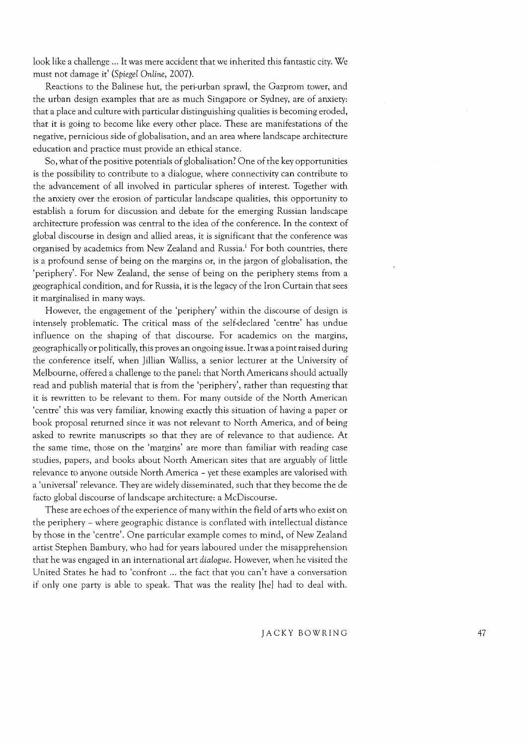look like a challenge ... It was mere accident that we inherited this fantastic city. We must not damage it' *(Spiegel Online, 2007).* 

Reactions to the Balinese hut, the peri-urban sprawl, the Gazprom tower, and the urban design examples that are as much Singapore or Sydney, are of anxiety: that a place and culture with particular distinguishing qualities is becoming eroded, that it is going to become like every other place. These are manifestations of the negative, pernicious side of globalisation, and an area where landscape architecture education and practice must provide an ethical stance.

So, what of the positive potentials of globalisation? One of the key opportunities is the possibility to contribute to a dialogue, where connectivity can contribute to the advancement of all involved in particular spheres of interest. Together with the anxiety over the erosion of particular landscape qualities, this opportunity to establish a forum for discussion and debate for the emerging Russian landscape architecture profession was central to the idea of the conference. In the context of global discourse in design and allied areas, it is significant that the conference was organised by academics from New Zealand and Russia.<sup>1</sup> For both countries, there is a profound sense of being on the margins or, in the jargon of globalisation, the 'periphery'. For New Zealand, the sense of being on the periphery stems from a geographical condition, and for Russia, it is the legacy of the Iron Curtain that sees it marginalised in many ways.

However, the engagement of the 'periphery' within the discourse of design is intensely problematic. The critical mass of the self-declared 'centre' has undue influence on the shaping of that discourse. For academics on the margins, geographically or politically, this proves an ongoing issue. It was a point raised during the conference itself, when Jillian Walliss, a senior lecturer at the University of Melbourne, offered a challenge to the panel: that North Americans should actually read and publish material that is from the 'periphery', rather than requesting that it is rewritten to be relevant to them. For many outside of the North American 'centre' this was very familiar, knowing exactly this situation of having a paper or book proposal returned since it was not relevant to North America, and of being asked to rewrite manuscripts so that they are of relevance to that audience. At the same time, those on the 'margins' are more than familiar with reading case studies, papers, and books about North American sites that are arguably of little relevance to anyone outside North America - yet these examples are valorised with a 'universal' relevance. They are widely disseminated, such that they become the de facto global discourse of landscape architecture: a McDiscourse.

These are echoes of the experience of many within the field of arts who exist on the periphery - where geographic distance is conflated with intellectual distance by those in the 'centre'. One particular example comes to mind, of New Zealand artist Stephen Bambury, who had for years laboured under the misapprehension that he was engaged in an international art *dialogue.* However, when he visited the United States he had to 'confront ... the fact that you can't have a conversation if only one party is able to speak. That was the reality [he] had to deal with.

JACKY BOWRING 47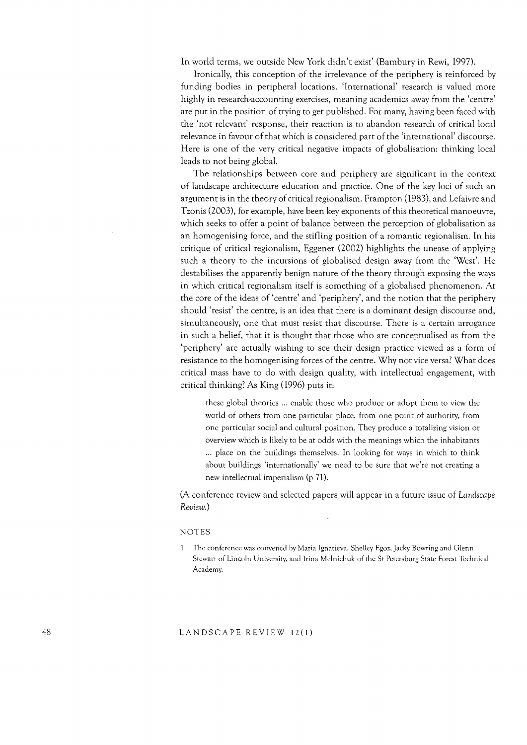In world terms, we outside New York didn't exist' (Bambury in Rewi, 1997).

Ironically, this conception of the irrelevance of the periphery is reinforced by funding bodies in peripheral locations. 'International' research is valued more highly in research-accounting exercises, meaning academics away from the 'centre' are put in the position of trying to get published. For many, having been faced with the 'not relevant' response, their reaction is to abandon research of critical local relevance in favour of that which is considered part of the 'international' discourse. Here is one of the very critical negative impacts of globalisation: thinking local leads to not being global.

The relationships between core and periphery are significant in the context of landscape architecture education and practice. One of the key loci of such an argument is in the theory of critical regionalism. Frampton (1983), and Lefaivre and Tzonis (2003), for example, have been key exponents of this theoretical manoeuvre, which seeks to offer a point of balance between the perception of globalisation as an homogenising force, and the stifling position of a romantic regionalism. In his critique of critical regionalism, Eggener (2002) highlights the unease of applying such a theory to the incursions of globalised design away from the 'West'. He destabilises the apparently benign nature of the theory through exposing the ways in which critical regionalism itself is something of a globalised phenomenon. At the core of the ideas of 'centre' and 'periphery', and the notion that the periphery should 'resist' the centre, is an idea that there is a dominant design discourse and, simultaneously, one that must resist that discourse. There is a certain arrogance in such a belief, that it is thought that those who are conceptualised as from the 'periphery' are actually wishing to see their design practice viewed as a form of resistance to the homogenising forces of the centre. Why not vice versa? What does critical mass have to do with design quality, with intellectual engagement, with critical thinking? As King (1996) puts it:

these global theories ... enable those who produce or adopt them to view the world of others from one particular place, from one point of authority, from one particular social and cultural position. They produce a totalizing vision or overview which is likely to be at odds with the meanings which the inhabitants ... place on the buildings themselves. In looking for ways in which to think about buildings 'internationally' we need to be sure that we're not creating a new intellectual imperialism (p 71).

(A conference review and selected papers will appear in a future issue of *Landscape Review.)* 

#### NOTES

 $\mathbf{1}$ The conference was convened by Maria Ignatieva, Shelley Egoz, Jacky Bowring and Glenn Stewart of Lincoln University, and Irina Melnichuk of the St Petersburg State Forest Technical Academy.

## LANDSCAPE REVIEW 12(1)